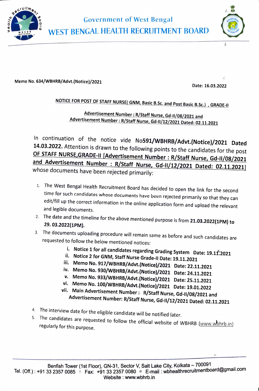

Government of West Bengal WEST BENGAL HEALTH RECRUITMENT BOARD



Memo No. 634/wBHRB/Advt.(Notice)/2021

Date: 16.03.2022

NOTICE FOR POST OF STAFF NURSE GNM, Basic B.Sc. and Post Basic B.Sc.), GRADE-II<br>Advertisement Number : R/Staff Nurse, Gd-II/08/2021 and Advertisement Number: R/Staff Nurse, Gd-II/12/2021 Dated: 02.11.2021

In continuation of the notice vide No591/WBHRB/Advt.(Notice)/2021 Dated 14.03.2022. Attention is drawn to the following points to the candidates for the post OF STAFF NURSE, GRADE-II [Advertisement Number : R/Staff Nurse, whose documents have been rejected primarily: and Advertisement Number : R/Staff Nurse, Gd-II/12/2021 Dated: 02.11.2021]

- 1. The West Bengal Health Recruitment Board has decided to open the link for the second<br>time for such candidates whose documents have been rejected primarily so that they can<br>edit/fill up the correct information in the onl
- 2. The date and the timeline for the above mentioned purpose is from 21.03.2022(1PM) to 29. 03.2022(1PM).
- 3. The documents uploading procedure will remain same as before and such candidates are<br>requested to follow the below mentioned notices:<br>i. Notice 1 for all candidates regarding Grading System Date: 19.11.2021
	-
	-
	-
	-
	-
	-
	- ii. Notice 2 for GNM, Staff Nurse Grade-II Date: 19.11.2021<br>iii. Memo No. 917/WBHRB/Advt.(Notice)/2021 Date: 22.11.2021<br>iv. Memo No. 930/WBHRB/Advt.(Notice)/2021 Date: 24.11.2021<br>v. Memo No. 933/WBHRB/Advt.(Notice)/2021 Da
- 
- 4. The interview date for the eligible candidate will be notified later.<br>5. The candidates are requested to follow the official website of WBHRB (www.wbhrb.in)<br>regularly for this purpose.